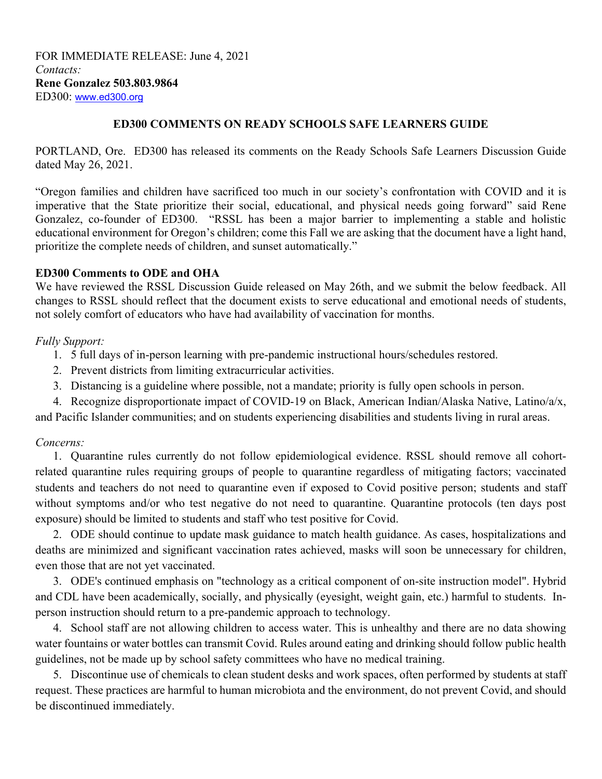FOR IMMEDIATE RELEASE: June 4, 2021 *Contacts:* **Rene Gonzalez 503.803.9864**  ED300: www.ed300.org

#### **ED300 COMMENTS ON READY SCHOOLS SAFE LEARNERS GUIDE**

PORTLAND, Ore. ED300 has released its comments on the Ready Schools Safe Learners Discussion Guide dated May 26, 2021.

"Oregon families and children have sacrificed too much in our society's confrontation with COVID and it is imperative that the State prioritize their social, educational, and physical needs going forward" said Rene Gonzalez, co-founder of ED300. "RSSL has been a major barrier to implementing a stable and holistic educational environment for Oregon's children; come this Fall we are asking that the document have a light hand, prioritize the complete needs of children, and sunset automatically."

## **ED300 Comments to ODE and OHA**

We have reviewed the RSSL Discussion Guide released on May 26th, and we submit the below feedback. All changes to RSSL should reflect that the document exists to serve educational and emotional needs of students, not solely comfort of educators who have had availability of vaccination for months.

## *Fully Support:*

- 1. 5 full days of in-person learning with pre-pandemic instructional hours/schedules restored.
- 2. Prevent districts from limiting extracurricular activities.
- 3. Distancing is a guideline where possible, not a mandate; priority is fully open schools in person.
- 4. Recognize disproportionate impact of COVID-19 on Black, American Indian/Alaska Native, Latino/a/x,

and Pacific Islander communities; and on students experiencing disabilities and students living in rural areas.

# *Concerns:*

1. Quarantine rules currently do not follow epidemiological evidence. RSSL should remove all cohortrelated quarantine rules requiring groups of people to quarantine regardless of mitigating factors; vaccinated students and teachers do not need to quarantine even if exposed to Covid positive person; students and staff without symptoms and/or who test negative do not need to quarantine. Quarantine protocols (ten days post exposure) should be limited to students and staff who test positive for Covid.

2. ODE should continue to update mask guidance to match health guidance. As cases, hospitalizations and deaths are minimized and significant vaccination rates achieved, masks will soon be unnecessary for children, even those that are not yet vaccinated.

3. ODE's continued emphasis on "technology as a critical component of on-site instruction model". Hybrid and CDL have been academically, socially, and physically (eyesight, weight gain, etc.) harmful to students. Inperson instruction should return to a pre-pandemic approach to technology.

4. School staff are not allowing children to access water. This is unhealthy and there are no data showing water fountains or water bottles can transmit Covid. Rules around eating and drinking should follow public health guidelines, not be made up by school safety committees who have no medical training.

5. Discontinue use of chemicals to clean student desks and work spaces, often performed by students at staff request. These practices are harmful to human microbiota and the environment, do not prevent Covid, and should be discontinued immediately.